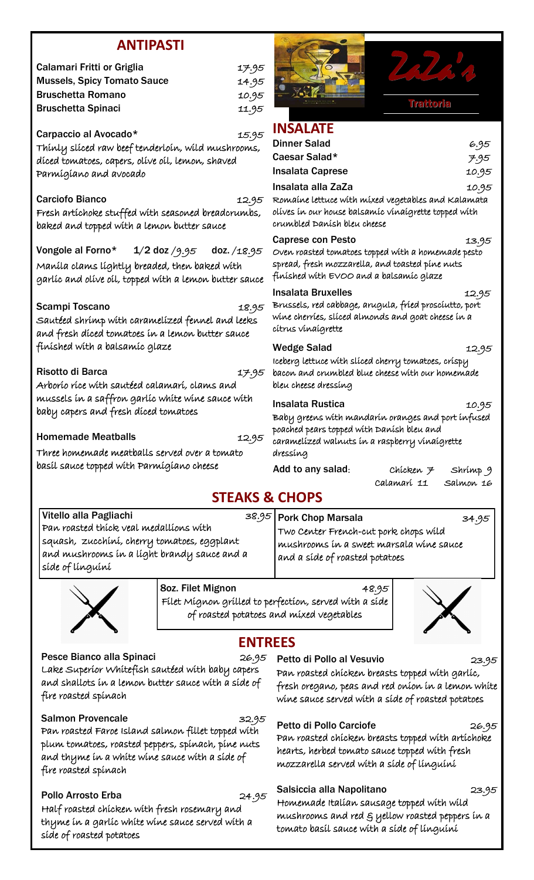### **ANTIPASTI**

|                                                                                                                                                           | AN HEASH          |             |                                                                                                     |
|-----------------------------------------------------------------------------------------------------------------------------------------------------------|-------------------|-------------|-----------------------------------------------------------------------------------------------------|
| <b>Calamari Fritti or Griglia</b>                                                                                                                         |                   | 17.95       |                                                                                                     |
| <b>Mussels, Spicy Tomato Sauce</b>                                                                                                                        |                   | 14.95       |                                                                                                     |
| <b>Bruschetta Romano</b>                                                                                                                                  |                   | 10.95       |                                                                                                     |
| <b>Bruschetta Spinaci</b>                                                                                                                                 |                   | 11.95       |                                                                                                     |
| Carpaccio al Avocado*<br>Thínly slíced raw beef tenderloín, wíld mushrooms,<br>díced tomatoes, capers, olíve oíl, lemon, shaved<br>Parmígíano and avocado |                   | 15.95       | <b>INSALATE</b><br><b>Dinner Salad</b><br>Caesar Salad*<br>Insalata Caprese                         |
| <b>Carciofo Bianco</b><br>Fresh artíchoke stuffed wíth seasoned breadcrumbs,<br>baked and topped with a lemon butter sauce                                |                   | 12.95       | Insalata alla ZaZa<br>Romaine lettuce with<br>olíves ín our house ba<br>crumbled Danish bleu        |
| Vongole al Forno*<br>Maníla clams líghtly breaded, then baked wíth<br>garlíc and olive oil, topped with a lemon butter sauce                              | $1/2$ doz $/9.95$ | doz. /18.95 | <b>Caprese con Pesto</b><br>Oven roasted tomatoe<br>spread, fresh mozzarı<br>finished with EVOO     |
| Scampi Toscano<br>Sautéed shrímp wíth caramelízed fennel and leeks<br>and fresh díced tomatoes in a lemon butter sauce                                    |                   | 18.95       | <b>Insalata Bruxelles</b><br>Brussels, red cabbage<br>wine cherries, sliced a<br>cítrus vínaígrette |
| finíshed wíth a balsamíc glaze                                                                                                                            |                   |             | <b>Wedge Salad</b><br>Iceberg lettuce with sl                                                       |
| Risotto di Barca<br>Arborío ríce wíth sautéed calamarí, clams and                                                                                         |                   | 17.95       | bacon and crumbled<br>bleu cheese dressing                                                          |
| mussels in a saffron garlic white wine sauce with<br>baby capers and fresh díced tomatoes                                                                 |                   |             | Insalata Rustica<br>Baby greens with ma<br>poached pears topped v                                   |
| <b>Homemade Meatballs</b>                                                                                                                                 |                   | 12.95       | caramelízed walnuts                                                                                 |
| Three homemade meatballs served over a tomato<br>basíl sauce topped wíth Parmígíano cheese                                                                |                   |             | dressing<br>Add to any salad:                                                                       |
|                                                                                                                                                           |                   |             |                                                                                                     |



Chicken  $\neq$  Shrimp 9 Calamari 11 Salmon 16

## **STEAKS & CHOPS**

Vitello alla Pagliachi alla sunno alla sensita di sensita di sensita di sensita di sensita di sensita di sensi Pan roasted thick veal medallions with squash, zucchini, cherry tomatoes, eggplant and mushrooms in a light brandy sauce and a side of linguini



8oz. Filet Mignon and A8.95

Filet Mignon grilled to perfection, served with a side of roasted potatoes and mixed vegetables



### **ENTREES**

Pesce Bianco alla Spinaci 26.95 Lake Superior Whitefish sautéed with baby capers and shallots in a lemon butter sauce with a side of fire roasted spinach

Salmon Provencale 32.95 Pan roasted Faroe Island salmon fillet topped with plum tomatoes, roasted peppers, spinach, pine nuts and thyme in a white wine sauce with a side of fire roasted spinach

Pollo Arrosto Erba 24.95 Half roasted chicken with fresh rosemary and thyme in a garlic white wine sauce served with a side of roasted potatoes

Petto di Pollo al Vesuvio 23.95 Pan roasted chicken breasts topped with garlic, fresh oregano, peas and red onion in a lemon white wine sauce served with a side of roasted potatoes

Pork Chop Marsala 34.95

Two Center French-cut pork chops wild mushrooms in a sweet marsala wine sauce

and a side of roasted potatoes

Petto di Pollo Carciofe 26.95

Pan roasted chicken breasts topped with artichoke hearts, herbed tomato sauce topped with fresh mozzarella served with a side of linguini

# Salsiccia alla Napolitano 23.95

Homemade Italian sausage topped with wild mushrooms and red & yellow roasted peppers in a tomato basil sauce with a side of linguini